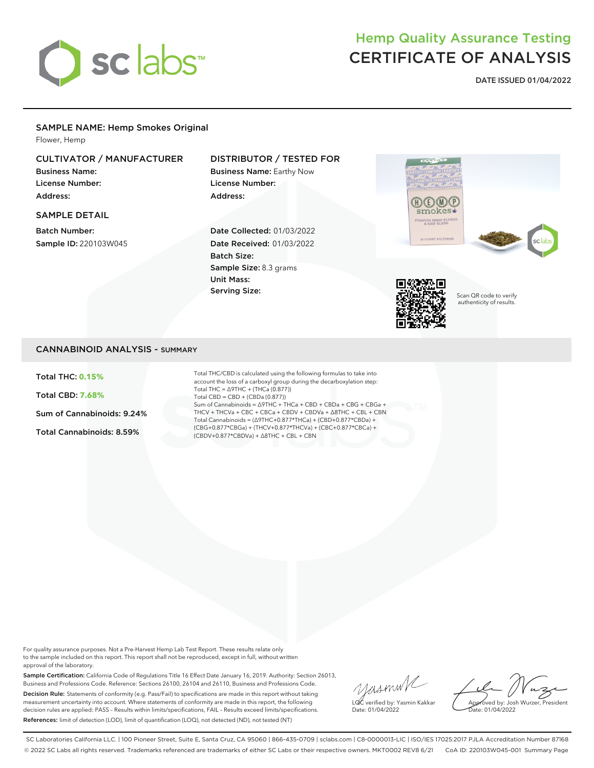

# Hemp Quality Assurance Testing CERTIFICATE OF ANALYSIS

**DATE ISSUED 01/04/2022**

## SAMPLE NAME: Hemp Smokes Original

Flower, Hemp

## CULTIVATOR / MANUFACTURER

Business Name: License Number: Address:

#### SAMPLE DETAIL

Batch Number: Sample ID: 220103W045

## DISTRIBUTOR / TESTED FOR

Business Name: Earthy Now License Number: Address:

Date Collected: 01/03/2022 Date Received: 01/03/2022 Batch Size: Sample Size: 8.3 grams Unit Mass: Serving Size:





Scan QR code to verify authenticity of results.

## CANNABINOID ANALYSIS - SUMMARY

Total THC: **0.15%**

Total CBD: **7.68%**

Sum of Cannabinoids: 9.24%

Total Cannabinoids: 8.59%

Total THC/CBD is calculated using the following formulas to take into account the loss of a carboxyl group during the decarboxylation step: Total THC = ∆9THC + (THCa (0.877)) Total CBD = CBD + (CBDa (0.877)) Sum of Cannabinoids = ∆9THC + THCa + CBD + CBDa + CBG + CBGa + THCV + THCVa + CBC + CBCa + CBDV + CBDVa + ∆8THC + CBL + CBN Total Cannabinoids = (∆9THC+0.877\*THCa) + (CBD+0.877\*CBDa) + (CBG+0.877\*CBGa) + (THCV+0.877\*THCVa) + (CBC+0.877\*CBCa) + (CBDV+0.877\*CBDVa) + ∆8THC + CBL + CBN

For quality assurance purposes. Not a Pre-Harvest Hemp Lab Test Report. These results relate only to the sample included on this report. This report shall not be reproduced, except in full, without written approval of the laboratory.

Sample Certification: California Code of Regulations Title 16 Effect Date January 16, 2019. Authority: Section 26013, Business and Professions Code. Reference: Sections 26100, 26104 and 26110, Business and Professions Code. Decision Rule: Statements of conformity (e.g. Pass/Fail) to specifications are made in this report without taking measurement uncertainty into account. Where statements of conformity are made in this report, the following decision rules are applied: PASS – Results within limits/specifications, FAIL – Results exceed limits/specifications. References: limit of detection (LOD), limit of quantification (LOQ), not detected (ND), not tested (NT)

yusmink LQC verified by: Yasmin Kakkar Date: 01/04/2022

Approved by: Josh Wurzer, President Date: 01/04/2022

SC Laboratories California LLC. | 100 Pioneer Street, Suite E, Santa Cruz, CA 95060 | 866-435-0709 | sclabs.com | C8-0000013-LIC | ISO/IES 17025:2017 PJLA Accreditation Number 87168 © 2022 SC Labs all rights reserved. Trademarks referenced are trademarks of either SC Labs or their respective owners. MKT0002 REV8 6/21 CoA ID: 220103W045-001 Summary Page